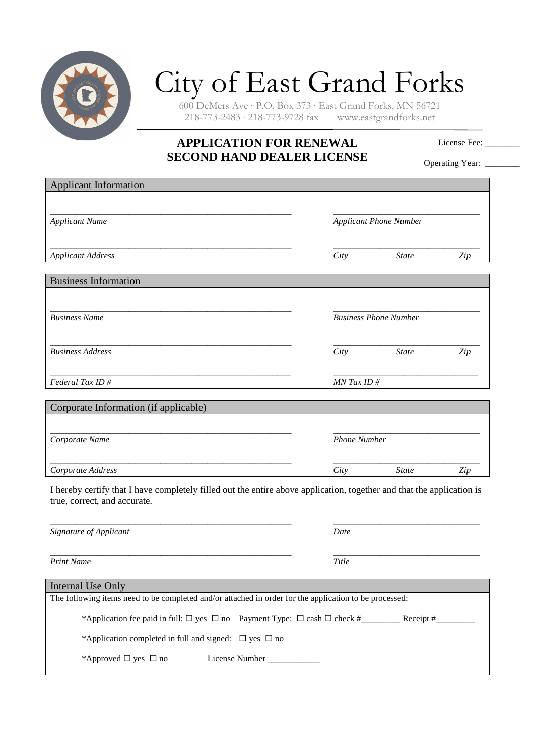

## City of East Grand Forks

600 DeMers Ave · P.O. Box 373 · East Grand Forks, MN 56721  $218-773-2483 \cdot 218-773-9728$  fax

## **APPLICATION FOR RENEWAL SECOND HAND DEALER LICENSE**

License Fee: \_\_\_\_\_\_\_\_

Operating Year: \_\_\_\_\_\_\_

| <b>Applicant Information</b>                                                                                                                          |                               |              |     |
|-------------------------------------------------------------------------------------------------------------------------------------------------------|-------------------------------|--------------|-----|
|                                                                                                                                                       |                               |              |     |
| <b>Applicant Name</b>                                                                                                                                 | <b>Applicant Phone Number</b> |              |     |
|                                                                                                                                                       |                               |              |     |
| <b>Applicant Address</b>                                                                                                                              | City                          | <b>State</b> | Zip |
| <b>Business Information</b>                                                                                                                           |                               |              |     |
|                                                                                                                                                       |                               |              |     |
| <b>Business Name</b>                                                                                                                                  | <b>Business Phone Number</b>  |              |     |
|                                                                                                                                                       |                               |              |     |
| <b>Business Address</b>                                                                                                                               | City                          | <b>State</b> | Zip |
|                                                                                                                                                       |                               |              |     |
| Federal Tax ID#                                                                                                                                       | $MN$ Tax ID $#$               |              |     |
| Corporate Information (if applicable)                                                                                                                 |                               |              |     |
|                                                                                                                                                       |                               |              |     |
| Corporate Name                                                                                                                                        | <b>Phone Number</b>           |              |     |
|                                                                                                                                                       |                               |              |     |
| Corporate Address                                                                                                                                     | City                          | <b>State</b> | Zip |
| I hereby certify that I have completely filled out the entire above application, together and that the application is<br>true, correct, and accurate. |                               |              |     |
| Signature of Applicant                                                                                                                                | Date                          |              |     |
|                                                                                                                                                       |                               |              |     |
| <b>Print Name</b>                                                                                                                                     | Title                         |              |     |
| <b>Internal Use Only</b>                                                                                                                              |                               |              |     |
| The following items need to be completed and/or attached in order for the application to be processed:                                                |                               |              |     |
|                                                                                                                                                       |                               |              |     |
|                                                                                                                                                       |                               |              |     |

\*Application completed in full and signed:  $\Box$  yes  $\Box$  no

\*Approved yes no License Number \_\_\_\_\_\_\_\_\_\_\_\_